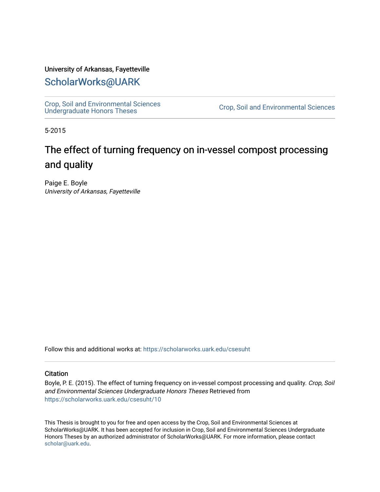#### University of Arkansas, Fayetteville

## [ScholarWorks@UARK](https://scholarworks.uark.edu/)

[Crop, Soil and Environmental Sciences](https://scholarworks.uark.edu/csesuht) 

Crop, Soil and Environmental Sciences

5-2015

# The effect of turning frequency on in-vessel compost processing and quality

Paige E. Boyle University of Arkansas, Fayetteville

Follow this and additional works at: [https://scholarworks.uark.edu/csesuht](https://scholarworks.uark.edu/csesuht?utm_source=scholarworks.uark.edu%2Fcsesuht%2F10&utm_medium=PDF&utm_campaign=PDFCoverPages)

#### **Citation**

Boyle, P. E. (2015). The effect of turning frequency on in-vessel compost processing and quality. Crop, Soil and Environmental Sciences Undergraduate Honors Theses Retrieved from [https://scholarworks.uark.edu/csesuht/10](https://scholarworks.uark.edu/csesuht/10?utm_source=scholarworks.uark.edu%2Fcsesuht%2F10&utm_medium=PDF&utm_campaign=PDFCoverPages) 

This Thesis is brought to you for free and open access by the Crop, Soil and Environmental Sciences at ScholarWorks@UARK. It has been accepted for inclusion in Crop, Soil and Environmental Sciences Undergraduate Honors Theses by an authorized administrator of ScholarWorks@UARK. For more information, please contact [scholar@uark.edu](mailto:scholar@uark.edu).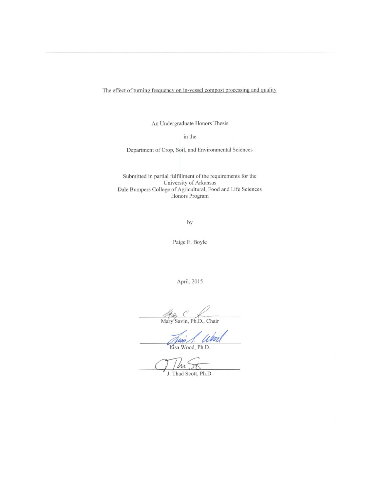The effect of turning frequency on in-vessel compost processing and quality

An Undergraduate Honors Thesis

in the

Department of Crop, Soil, and Environmental Sciences

Submitted in partial fulfillment of the requirements for the University of Arkansas Dale Bumpers College of Agricultural, Food and Life Sciences Honors Program

by

Paige E. Boyle

April, 2015

May C<br>Mary Savin, Ph.D., Chair

<u>Juni 1. Whref</u>

The St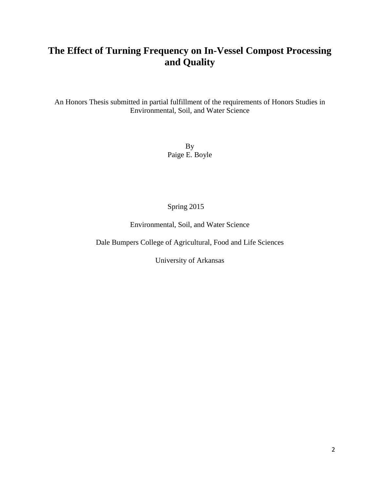## **The Effect of Turning Frequency on In-Vessel Compost Processing and Quality**

An Honors Thesis submitted in partial fulfillment of the requirements of Honors Studies in Environmental, Soil, and Water Science

> By Paige E. Boyle

### Spring 2015

Environmental, Soil, and Water Science

Dale Bumpers College of Agricultural, Food and Life Sciences

University of Arkansas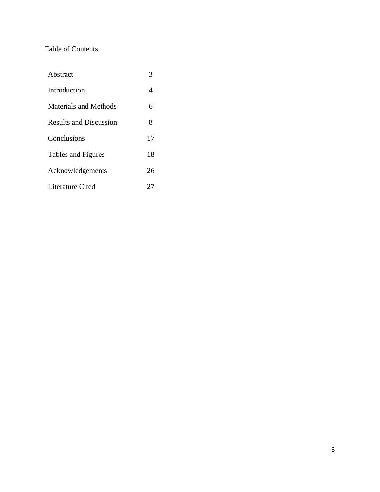## Table of Contents

| Abstract                      | 3  |
|-------------------------------|----|
| Introduction                  | 4  |
| Materials and Methods         | 6  |
| <b>Results and Discussion</b> | 8  |
| Conclusions                   | 17 |
| Tables and Figures            | 18 |
| Acknowledgements              | 26 |
| <b>Literature Cited</b>       | 27 |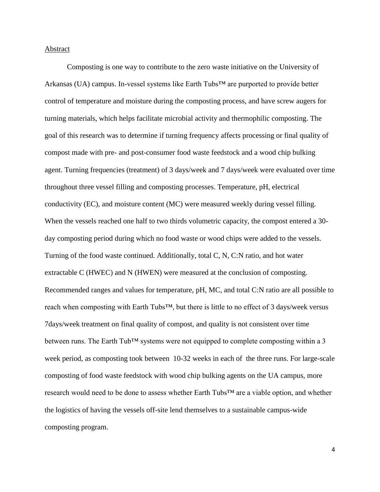#### Abstract

Composting is one way to contribute to the zero waste initiative on the University of Arkansas (UA) campus. In-vessel systems like Earth Tubs<sup> $TM$ </sup> are purported to provide better control of temperature and moisture during the composting process, and have screw augers for turning materials, which helps facilitate microbial activity and thermophilic composting. The goal of this research was to determine if turning frequency affects processing or final quality of compost made with pre- and post-consumer food waste feedstock and a wood chip bulking agent. Turning frequencies (treatment) of 3 days/week and 7 days/week were evaluated over time throughout three vessel filling and composting processes. Temperature, pH, electrical conductivity (EC), and moisture content (MC) were measured weekly during vessel filling. When the vessels reached one half to two thirds volumetric capacity, the compost entered a 30day composting period during which no food waste or wood chips were added to the vessels. Turning of the food waste continued. Additionally, total C, N, C:N ratio, and hot water extractable C (HWEC) and N (HWEN) were measured at the conclusion of composting. Recommended ranges and values for temperature, pH, MC, and total C:N ratio are all possible to reach when composting with Earth Tubs™, but there is little to no effect of 3 days/week versus 7days/week treatment on final quality of compost, and quality is not consistent over time between runs. The Earth Tub<sup>™</sup> systems were not equipped to complete composting within a 3 week period, as composting took between 10-32 weeks in each of the three runs. For large-scale composting of food waste feedstock with wood chip bulking agents on the UA campus, more research would need to be done to assess whether Earth Tubs™ are a viable option, and whether the logistics of having the vessels off-site lend themselves to a sustainable campus-wide composting program.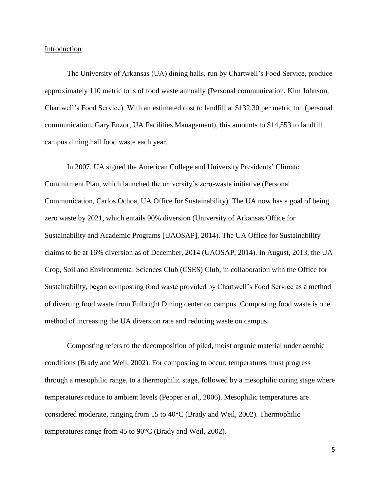#### Introduction

The University of Arkansas (UA) dining halls, run by Chartwell's Food Service, produce approximately 110 metric tons of food waste annually (Personal communication, Kim Johnson, Chartwell's Food Service). With an estimated cost to landfill at \$132.30 per metric ton (personal communication, Gary Enzor, UA Facilities Management), this amounts to \$14,553 to landfill campus dining hall food waste each year.

In 2007, UA signed the American College and University Presidents' Climate Commitment Plan, which launched the university's zero-waste initiative (Personal Communication, Carlos Ochoa, UA Office for Sustainability). The UA now has a goal of being zero waste by 2021, which entails 90% diversion (University of Arkansas Office for Sustainability and Academic Programs [UAOSAP], 2014). The UA Office for Sustainability claims to be at 16% diversion as of December, 2014 (UAOSAP, 2014). In August, 2013, the UA Crop, Soil and Environmental Sciences Club (CSES) Club, in collaboration with the Office for Sustainability, began composting food waste provided by Chartwell's Food Service as a method of diverting food waste from Fulbright Dining center on campus. Composting food waste is one method of increasing the UA diversion rate and reducing waste on campus.

Composting refers to the decomposition of piled, moist organic material under aerobic conditions (Brady and Weil, 2002). For composting to occur, temperatures must progress through a mesophilic range, to a thermophilic stage, followed by a mesophilic curing stage where temperatures reduce to ambient levels (Pepper *et al*., 2006). Mesophilic temperatures are considered moderate, ranging from 15 to 40°C (Brady and Weil, 2002). Thermophilic temperatures range from 45 to 90°C (Brady and Weil, 2002).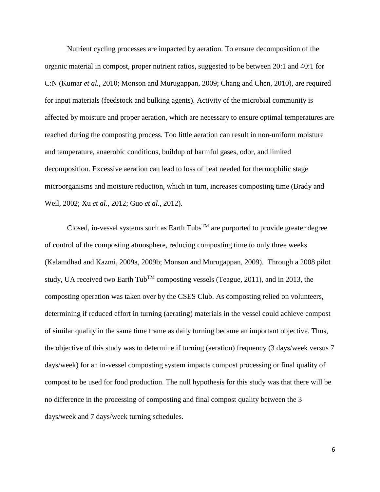Nutrient cycling processes are impacted by aeration. To ensure decomposition of the organic material in compost, proper nutrient ratios, suggested to be between 20:1 and 40:1 for C:N (Kumar *et al.*, 2010; Monson and Murugappan, 2009; Chang and Chen, 2010), are required for input materials (feedstock and bulking agents). Activity of the microbial community is affected by moisture and proper aeration, which are necessary to ensure optimal temperatures are reached during the composting process. Too little aeration can result in non-uniform moisture and temperature, anaerobic conditions, buildup of harmful gases, odor, and limited decomposition. Excessive aeration can lead to loss of heat needed for thermophilic stage microorganisms and moisture reduction, which in turn, increases composting time (Brady and Weil, 2002; Xu *et al*., 2012; Guo *et al*., 2012).

Closed, in-vessel systems such as Earth Tubs<sup>TM</sup> are purported to provide greater degree of control of the composting atmosphere, reducing composting time to only three weeks (Kalamdhad and Kazmi, 2009a, 2009b; Monson and Murugappan, 2009). Through a 2008 pilot study, UA received two Earth Tub<sup>TM</sup> composting vessels (Teague, 2011), and in 2013, the composting operation was taken over by the CSES Club. As composting relied on volunteers, determining if reduced effort in turning (aerating) materials in the vessel could achieve compost of similar quality in the same time frame as daily turning became an important objective. Thus, the objective of this study was to determine if turning (aeration) frequency (3 days/week versus 7 days/week) for an in-vessel composting system impacts compost processing or final quality of compost to be used for food production. The null hypothesis for this study was that there will be no difference in the processing of composting and final compost quality between the 3 days/week and 7 days/week turning schedules.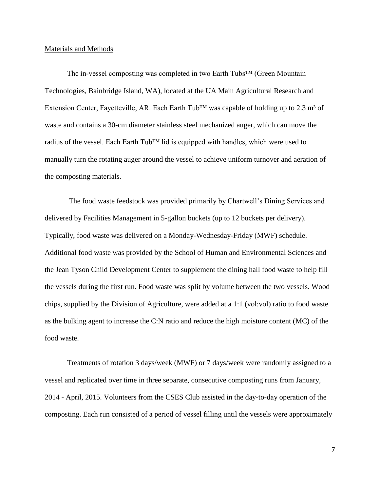#### Materials and Methods

The in-vessel composting was completed in two Earth Tubs™ (Green Mountain Technologies, Bainbridge Island, WA), located at the UA Main Agricultural Research and Extension Center, Fayetteville, AR. Each Earth Tub<sup>TM</sup> was capable of holding up to 2.3 m<sup>3</sup> of waste and contains a 30-cm diameter stainless steel mechanized auger, which can move the radius of the vessel. Each Earth Tub<sup>™</sup> lid is equipped with handles, which were used to manually turn the rotating auger around the vessel to achieve uniform turnover and aeration of the composting materials.

The food waste feedstock was provided primarily by Chartwell's Dining Services and delivered by Facilities Management in 5-gallon buckets (up to 12 buckets per delivery). Typically, food waste was delivered on a Monday-Wednesday-Friday (MWF) schedule. Additional food waste was provided by the School of Human and Environmental Sciences and the Jean Tyson Child Development Center to supplement the dining hall food waste to help fill the vessels during the first run. Food waste was split by volume between the two vessels. Wood chips, supplied by the Division of Agriculture, were added at a 1:1 (vol:vol) ratio to food waste as the bulking agent to increase the C:N ratio and reduce the high moisture content (MC) of the food waste.

Treatments of rotation 3 days/week (MWF) or 7 days/week were randomly assigned to a vessel and replicated over time in three separate, consecutive composting runs from January, 2014 - April, 2015. Volunteers from the CSES Club assisted in the day-to-day operation of the composting. Each run consisted of a period of vessel filling until the vessels were approximately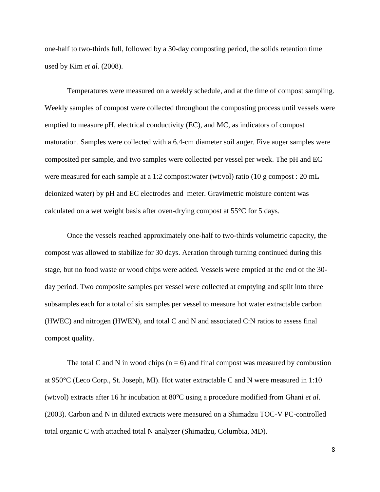one-half to two-thirds full, followed by a 30-day composting period, the solids retention time used by Kim *et al.* (2008).

Temperatures were measured on a weekly schedule, and at the time of compost sampling. Weekly samples of compost were collected throughout the composting process until vessels were emptied to measure pH, electrical conductivity (EC), and MC, as indicators of compost maturation. Samples were collected with a 6.4-cm diameter soil auger. Five auger samples were composited per sample, and two samples were collected per vessel per week. The pH and EC were measured for each sample at a 1:2 compost:water (wt:vol) ratio (10 g compost : 20 mL deionized water) by pH and EC electrodes and meter. Gravimetric moisture content was calculated on a wet weight basis after oven-drying compost at 55°C for 5 days.

Once the vessels reached approximately one-half to two-thirds volumetric capacity, the compost was allowed to stabilize for 30 days. Aeration through turning continued during this stage, but no food waste or wood chips were added. Vessels were emptied at the end of the 30 day period. Two composite samples per vessel were collected at emptying and split into three subsamples each for a total of six samples per vessel to measure hot water extractable carbon (HWEC) and nitrogen (HWEN), and total C and N and associated C:N ratios to assess final compost quality.

The total C and N in wood chips  $(n = 6)$  and final compost was measured by combustion at 950°C (Leco Corp., St. Joseph, MI). Hot water extractable C and N were measured in 1:10 (wt:vol) extracts after 16 hr incubation at 80<sup>o</sup>C using a procedure modified from Ghani *et al.* (2003). Carbon and N in diluted extracts were measured on a Shimadzu TOC-V PC-controlled total organic C with attached total N analyzer (Shimadzu, Columbia, MD).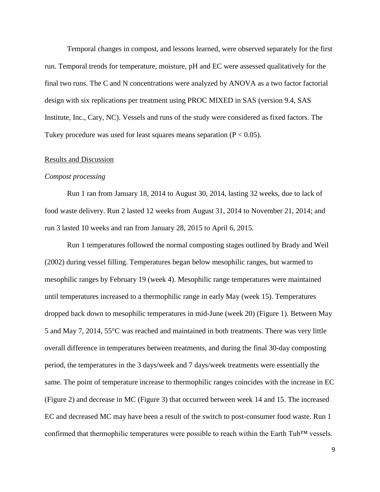Temporal changes in compost, and lessons learned, were observed separately for the first run. Temporal trends for temperature, moisture, pH and EC were assessed qualitatively for the final two runs. The C and N concentrations were analyzed by ANOVA as a two factor factorial design with six replications per treatment using PROC MIXED in SAS (version 9.4, SAS Institute, Inc., Cary, NC). Vessels and runs of the study were considered as fixed factors. The Tukey procedure was used for least squares means separation ( $P < 0.05$ ).

#### Results and Discussion

#### *Compost processing*

Run 1 ran from January 18, 2014 to August 30, 2014, lasting 32 weeks, due to lack of food waste delivery. Run 2 lasted 12 weeks from August 31, 2014 to November 21, 2014; and run 3 lasted 10 weeks and ran from January 28, 2015 to April 6, 2015.

Run 1 temperatures followed the normal composting stages outlined by Brady and Weil (2002) during vessel filling. Temperatures began below mesophilic ranges, but warmed to mesophilic ranges by February 19 (week 4). Mesophilic range temperatures were maintained until temperatures increased to a thermophilic range in early May (week 15). Temperatures dropped back down to mesophilic temperatures in mid-June (week 20) (Figure 1). Between May 5 and May 7, 2014, 55°C was reached and maintained in both treatments. There was very little overall difference in temperatures between treatments, and during the final 30-day composting period, the temperatures in the 3 days/week and 7 days/week treatments were essentially the same. The point of temperature increase to thermophilic ranges coincides with the increase in EC (Figure 2) and decrease in MC (Figure 3) that occurred between week 14 and 15. The increased EC and decreased MC may have been a result of the switch to post-consumer food waste. Run 1 confirmed that thermophilic temperatures were possible to reach within the Earth Tub™ vessels.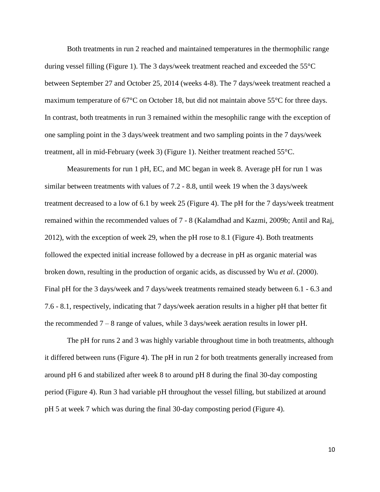Both treatments in run 2 reached and maintained temperatures in the thermophilic range during vessel filling (Figure 1). The 3 days/week treatment reached and exceeded the 55°C between September 27 and October 25, 2014 (weeks 4-8). The 7 days/week treatment reached a maximum temperature of 67°C on October 18, but did not maintain above 55°C for three days. In contrast, both treatments in run 3 remained within the mesophilic range with the exception of one sampling point in the 3 days/week treatment and two sampling points in the 7 days/week treatment, all in mid-February (week 3) (Figure 1). Neither treatment reached 55°C.

Measurements for run 1 pH, EC, and MC began in week 8. Average pH for run 1 was similar between treatments with values of 7.2 - 8.8, until week 19 when the 3 days/week treatment decreased to a low of 6.1 by week 25 (Figure 4). The pH for the 7 days/week treatment remained within the recommended values of 7 - 8 (Kalamdhad and Kazmi, 2009b; Antil and Raj, 2012), with the exception of week 29, when the pH rose to 8.1 (Figure 4). Both treatments followed the expected initial increase followed by a decrease in pH as organic material was broken down, resulting in the production of organic acids, as discussed by Wu *et al*. (2000). Final pH for the 3 days/week and 7 days/week treatments remained steady between 6.1 - 6.3 and 7.6 - 8.1, respectively, indicating that 7 days/week aeration results in a higher pH that better fit the recommended  $7 - 8$  range of values, while 3 days/week aeration results in lower pH.

The pH for runs 2 and 3 was highly variable throughout time in both treatments, although it differed between runs (Figure 4). The pH in run 2 for both treatments generally increased from around pH 6 and stabilized after week 8 to around pH 8 during the final 30-day composting period (Figure 4). Run 3 had variable pH throughout the vessel filling, but stabilized at around pH 5 at week 7 which was during the final 30-day composting period (Figure 4).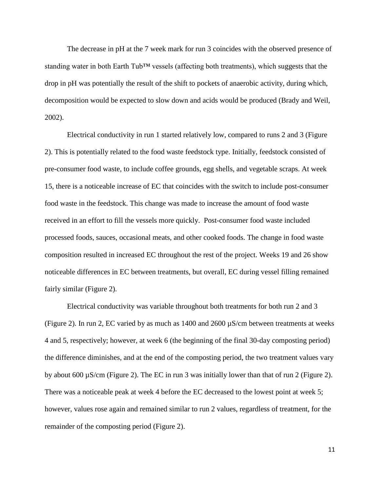The decrease in pH at the 7 week mark for run 3 coincides with the observed presence of standing water in both Earth Tub™ vessels (affecting both treatments), which suggests that the drop in pH was potentially the result of the shift to pockets of anaerobic activity, during which, decomposition would be expected to slow down and acids would be produced (Brady and Weil, 2002).

Electrical conductivity in run 1 started relatively low, compared to runs 2 and 3 (Figure 2). This is potentially related to the food waste feedstock type. Initially, feedstock consisted of pre-consumer food waste, to include coffee grounds, egg shells, and vegetable scraps. At week 15, there is a noticeable increase of EC that coincides with the switch to include post-consumer food waste in the feedstock. This change was made to increase the amount of food waste received in an effort to fill the vessels more quickly. Post-consumer food waste included processed foods, sauces, occasional meats, and other cooked foods. The change in food waste composition resulted in increased EC throughout the rest of the project. Weeks 19 and 26 show noticeable differences in EC between treatments, but overall, EC during vessel filling remained fairly similar (Figure 2).

Electrical conductivity was variable throughout both treatments for both run 2 and 3 (Figure 2). In run 2, EC varied by as much as 1400 and 2600 µS/cm between treatments at weeks 4 and 5, respectively; however, at week 6 (the beginning of the final 30-day composting period) the difference diminishes, and at the end of the composting period, the two treatment values vary by about 600 µS/cm (Figure 2). The EC in run 3 was initially lower than that of run 2 (Figure 2). There was a noticeable peak at week 4 before the EC decreased to the lowest point at week 5; however, values rose again and remained similar to run 2 values, regardless of treatment, for the remainder of the composting period (Figure 2).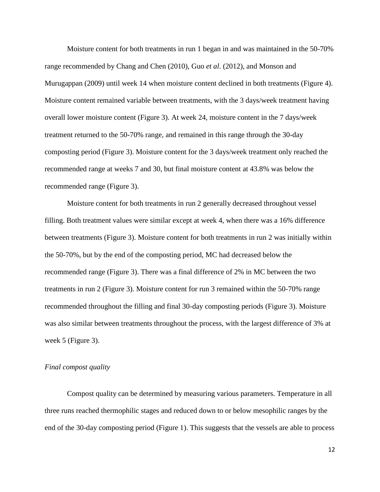Moisture content for both treatments in run 1 began in and was maintained in the 50-70% range recommended by Chang and Chen (2010), Guo *et al*. (2012), and Monson and Murugappan (2009) until week 14 when moisture content declined in both treatments (Figure 4). Moisture content remained variable between treatments, with the 3 days/week treatment having overall lower moisture content (Figure 3). At week 24, moisture content in the 7 days/week treatment returned to the 50-70% range, and remained in this range through the 30-day composting period (Figure 3). Moisture content for the 3 days/week treatment only reached the recommended range at weeks 7 and 30, but final moisture content at 43.8% was below the recommended range (Figure 3).

Moisture content for both treatments in run 2 generally decreased throughout vessel filling. Both treatment values were similar except at week 4, when there was a 16% difference between treatments (Figure 3). Moisture content for both treatments in run 2 was initially within the 50-70%, but by the end of the composting period, MC had decreased below the recommended range (Figure 3). There was a final difference of 2% in MC between the two treatments in run 2 (Figure 3). Moisture content for run 3 remained within the 50-70% range recommended throughout the filling and final 30-day composting periods (Figure 3). Moisture was also similar between treatments throughout the process, with the largest difference of 3% at week 5 (Figure 3).

#### *Final compost quality*

Compost quality can be determined by measuring various parameters. Temperature in all three runs reached thermophilic stages and reduced down to or below mesophilic ranges by the end of the 30-day composting period (Figure 1). This suggests that the vessels are able to process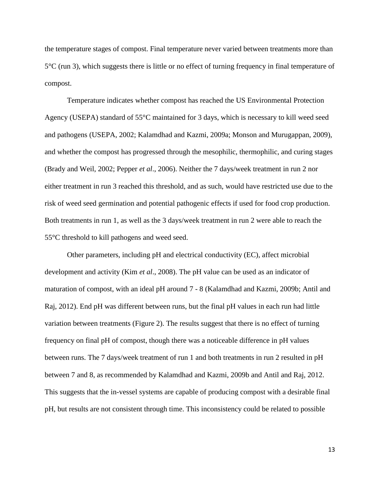the temperature stages of compost. Final temperature never varied between treatments more than 5°C (run 3), which suggests there is little or no effect of turning frequency in final temperature of compost.

Temperature indicates whether compost has reached the US Environmental Protection Agency (USEPA) standard of 55°C maintained for 3 days, which is necessary to kill weed seed and pathogens (USEPA, 2002; Kalamdhad and Kazmi, 2009a; Monson and Murugappan, 2009), and whether the compost has progressed through the mesophilic, thermophilic, and curing stages (Brady and Weil, 2002; Pepper *et al*., 2006). Neither the 7 days/week treatment in run 2 nor either treatment in run 3 reached this threshold, and as such, would have restricted use due to the risk of weed seed germination and potential pathogenic effects if used for food crop production. Both treatments in run 1, as well as the 3 days/week treatment in run 2 were able to reach the 55°C threshold to kill pathogens and weed seed.

Other parameters, including pH and electrical conductivity (EC), affect microbial development and activity (Kim *et al*., 2008). The pH value can be used as an indicator of maturation of compost, with an ideal pH around 7 - 8 (Kalamdhad and Kazmi, 2009b; Antil and Raj, 2012). End pH was different between runs, but the final pH values in each run had little variation between treatments (Figure 2). The results suggest that there is no effect of turning frequency on final pH of compost, though there was a noticeable difference in pH values between runs. The 7 days/week treatment of run 1 and both treatments in run 2 resulted in pH between 7 and 8, as recommended by Kalamdhad and Kazmi, 2009b and Antil and Raj, 2012. This suggests that the in-vessel systems are capable of producing compost with a desirable final pH, but results are not consistent through time. This inconsistency could be related to possible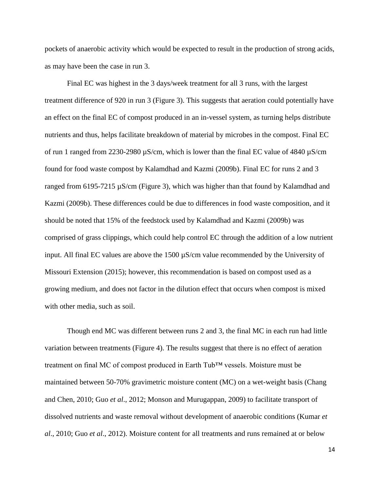pockets of anaerobic activity which would be expected to result in the production of strong acids, as may have been the case in run 3.

Final EC was highest in the 3 days/week treatment for all 3 runs, with the largest treatment difference of 920 in run 3 (Figure 3). This suggests that aeration could potentially have an effect on the final EC of compost produced in an in-vessel system, as turning helps distribute nutrients and thus, helps facilitate breakdown of material by microbes in the compost. Final EC of run 1 ranged from 2230-2980 µS/cm, which is lower than the final EC value of 4840 µS/cm found for food waste compost by Kalamdhad and Kazmi (2009b). Final EC for runs 2 and 3 ranged from 6195-7215 µS/cm (Figure 3), which was higher than that found by Kalamdhad and Kazmi (2009b). These differences could be due to differences in food waste composition, and it should be noted that 15% of the feedstock used by Kalamdhad and Kazmi (2009b) was comprised of grass clippings, which could help control EC through the addition of a low nutrient input. All final EC values are above the 1500 µS/cm value recommended by the University of Missouri Extension (2015); however, this recommendation is based on compost used as a growing medium, and does not factor in the dilution effect that occurs when compost is mixed with other media, such as soil.

Though end MC was different between runs 2 and 3, the final MC in each run had little variation between treatments (Figure 4). The results suggest that there is no effect of aeration treatment on final MC of compost produced in Earth Tub™ vessels. Moisture must be maintained between 50-70% gravimetric moisture content (MC) on a wet-weight basis (Chang and Chen, 2010; Guo *et al*., 2012; Monson and Murugappan, 2009) to facilitate transport of dissolved nutrients and waste removal without development of anaerobic conditions (Kumar *et al*., 2010; Guo *et al*., 2012). Moisture content for all treatments and runs remained at or below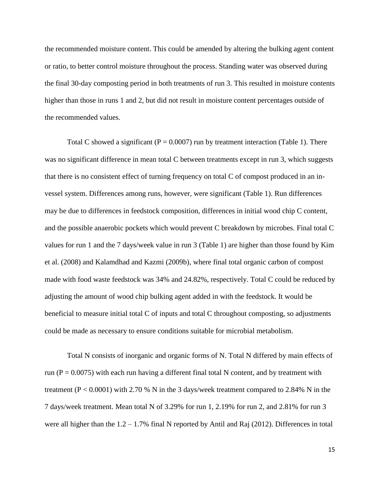the recommended moisture content. This could be amended by altering the bulking agent content or ratio, to better control moisture throughout the process. Standing water was observed during the final 30-day composting period in both treatments of run 3. This resulted in moisture contents higher than those in runs 1 and 2, but did not result in moisture content percentages outside of the recommended values.

Total C showed a significant ( $P = 0.0007$ ) run by treatment interaction (Table 1). There was no significant difference in mean total C between treatments except in run 3, which suggests that there is no consistent effect of turning frequency on total C of compost produced in an invessel system. Differences among runs, however, were significant (Table 1). Run differences may be due to differences in feedstock composition, differences in initial wood chip C content, and the possible anaerobic pockets which would prevent C breakdown by microbes. Final total C values for run 1 and the 7 days/week value in run 3 (Table 1) are higher than those found by Kim et al. (2008) and Kalamdhad and Kazmi (2009b), where final total organic carbon of compost made with food waste feedstock was 34% and 24.82%, respectively. Total C could be reduced by adjusting the amount of wood chip bulking agent added in with the feedstock. It would be beneficial to measure initial total C of inputs and total C throughout composting, so adjustments could be made as necessary to ensure conditions suitable for microbial metabolism.

Total N consists of inorganic and organic forms of N. Total N differed by main effects of run ( $P = 0.0075$ ) with each run having a different final total N content, and by treatment with treatment ( $P < 0.0001$ ) with 2.70 % N in the 3 days/week treatment compared to 2.84% N in the 7 days/week treatment. Mean total N of 3.29% for run 1, 2.19% for run 2, and 2.81% for run 3 were all higher than the  $1.2 - 1.7\%$  final N reported by Antil and Raj (2012). Differences in total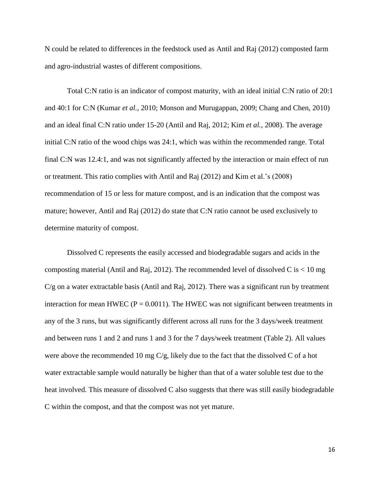N could be related to differences in the feedstock used as Antil and Raj (2012) composted farm and agro-industrial wastes of different compositions.

Total C:N ratio is an indicator of compost maturity, with an ideal initial C:N ratio of 20:1 and 40:1 for C:N (Kumar *et al.,* 2010; Monson and Murugappan, 2009; Chang and Chen, 2010) and an ideal final C:N ratio under 15-20 (Antil and Raj, 2012; Kim *et al.*, 2008). The average initial C:N ratio of the wood chips was 24:1, which was within the recommended range. Total final C:N was 12.4:1, and was not significantly affected by the interaction or main effect of run or treatment. This ratio complies with Antil and Raj (2012) and Kim et al.'s (2008) recommendation of 15 or less for mature compost, and is an indication that the compost was mature; however, Antil and Raj (2012) do state that C:N ratio cannot be used exclusively to determine maturity of compost.

Dissolved C represents the easily accessed and biodegradable sugars and acids in the composting material (Antil and Raj, 2012). The recommended level of dissolved C is  $< 10$  mg C/g on a water extractable basis (Antil and Raj, 2012). There was a significant run by treatment interaction for mean HWEC ( $P = 0.0011$ ). The HWEC was not significant between treatments in any of the 3 runs, but was significantly different across all runs for the 3 days/week treatment and between runs 1 and 2 and runs 1 and 3 for the 7 days/week treatment (Table 2). All values were above the recommended 10 mg C/g, likely due to the fact that the dissolved C of a hot water extractable sample would naturally be higher than that of a water soluble test due to the heat involved. This measure of dissolved C also suggests that there was still easily biodegradable C within the compost, and that the compost was not yet mature.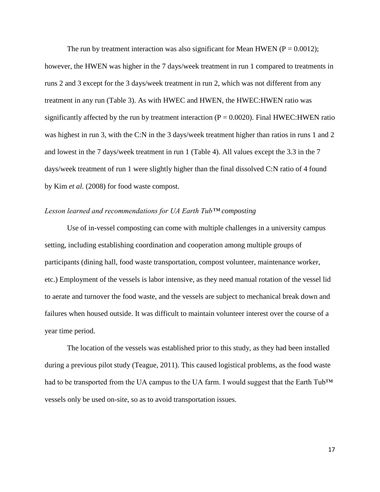The run by treatment interaction was also significant for Mean HWEN ( $P = 0.0012$ ); however, the HWEN was higher in the 7 days/week treatment in run 1 compared to treatments in runs 2 and 3 except for the 3 days/week treatment in run 2, which was not different from any treatment in any run (Table 3). As with HWEC and HWEN, the HWEC:HWEN ratio was significantly affected by the run by treatment interaction  $(P = 0.0020)$ . Final HWEC:HWEN ratio was highest in run 3, with the C:N in the 3 days/week treatment higher than ratios in runs 1 and 2 and lowest in the 7 days/week treatment in run 1 (Table 4). All values except the 3.3 in the 7 days/week treatment of run 1 were slightly higher than the final dissolved C:N ratio of 4 found by Kim *et al.* (2008) for food waste compost.

#### *Lesson learned and recommendations for UA Earth Tub™ composting*

Use of in-vessel composting can come with multiple challenges in a university campus setting, including establishing coordination and cooperation among multiple groups of participants (dining hall, food waste transportation, compost volunteer, maintenance worker, etc.) Employment of the vessels is labor intensive, as they need manual rotation of the vessel lid to aerate and turnover the food waste, and the vessels are subject to mechanical break down and failures when housed outside. It was difficult to maintain volunteer interest over the course of a year time period.

The location of the vessels was established prior to this study, as they had been installed during a previous pilot study (Teague, 2011). This caused logistical problems, as the food waste had to be transported from the UA campus to the UA farm. I would suggest that the Earth Tub™ vessels only be used on-site, so as to avoid transportation issues.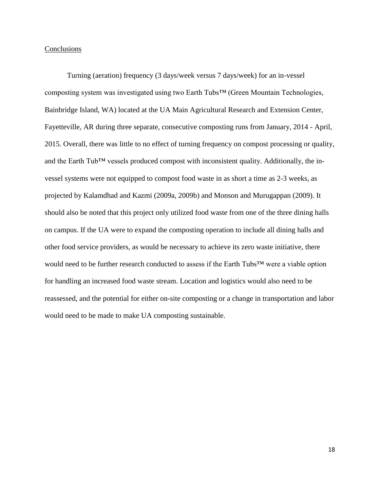#### **Conclusions**

Turning (aeration) frequency (3 days/week versus 7 days/week) for an in-vessel composting system was investigated using two Earth Tubs™ (Green Mountain Technologies, Bainbridge Island, WA) located at the UA Main Agricultural Research and Extension Center, Fayetteville, AR during three separate, consecutive composting runs from January, 2014 - April, 2015. Overall, there was little to no effect of turning frequency on compost processing or quality, and the Earth Tub<sup>™</sup> vessels produced compost with inconsistent quality. Additionally, the invessel systems were not equipped to compost food waste in as short a time as 2-3 weeks, as projected by Kalamdhad and Kazmi (2009a, 2009b) and Monson and Murugappan (2009). It should also be noted that this project only utilized food waste from one of the three dining halls on campus. If the UA were to expand the composting operation to include all dining halls and other food service providers, as would be necessary to achieve its zero waste initiative, there would need to be further research conducted to assess if the Earth Tubs™ were a viable option for handling an increased food waste stream. Location and logistics would also need to be reassessed, and the potential for either on-site composting or a change in transportation and labor would need to be made to make UA composting sustainable.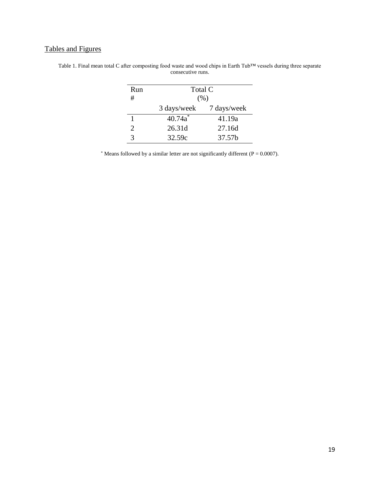## Tables and Figures

| Run | Total C     |             |
|-----|-------------|-------------|
| #   | (% )        |             |
|     | 3 days/week | 7 days/week |
|     | $40.74a^*$  | 41.19a      |
| 2   | 26.31d      | 27.16d      |
| 3   | 32.59c      | 37.57b      |

Table 1. Final mean total C after composting food waste and wood chips in Earth Tub™ vessels during three separate consecutive runs.

\* Means followed by a similar letter are not significantly different ( $P = 0.0007$ ).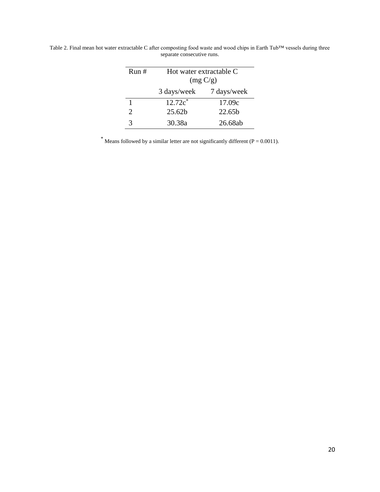| Run#                  | Hot water extractable C<br>(mg C/g) |             |
|-----------------------|-------------------------------------|-------------|
|                       | 3 days/week                         | 7 days/week |
|                       | $12.72c^*$                          | 17.09c      |
| $\mathcal{D}_{\cdot}$ | 25.62 <sub>b</sub>                  | 22.65b      |
| 3                     | 30.38a                              | 26.68ab     |

Table 2. Final mean hot water extractable C after composting food waste and wood chips in Earth Tub™ vessels during three separate consecutive runs.

\* Means followed by a similar letter are not significantly different ( $P = 0.0011$ ).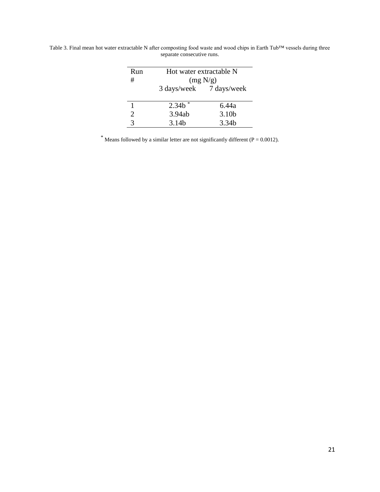| Run<br>#       | Hot water extractable N<br>(mg N/g) |                         |
|----------------|-------------------------------------|-------------------------|
|                |                                     | 3 days/week 7 days/week |
|                | $2.34h*$                            | 6.44a                   |
| $\overline{2}$ | 3.94ab                              | 3.10 <sub>b</sub>       |
|                | 3.14 <sub>b</sub>                   | 3.34b                   |

Table 3. Final mean hot water extractable N after composting food waste and wood chips in Earth Tub™ vessels during three separate consecutive runs.

\* Means followed by a similar letter are not significantly different ( $P = 0.0012$ ).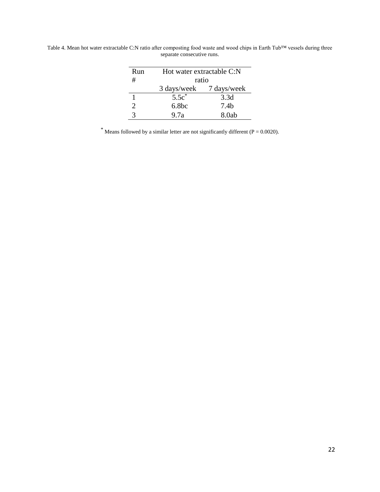| Run                   | Hot water extractable C:N |                  |
|-----------------------|---------------------------|------------------|
| #                     | ratio                     |                  |
|                       | 3 days/week               | 7 days/week      |
|                       | $5.5c^*$                  | 3.3d             |
| $\mathcal{D}_{\cdot}$ | 6.8 <sub>bc</sub>         | 7.4 <sub>b</sub> |
|                       | 9.7a                      | 8.0ab            |

Table 4. Mean hot water extractable C:N ratio after composting food waste and wood chips in Earth Tub™ vessels during three separate consecutive runs.

\* Means followed by a similar letter are not significantly different ( $P = 0.0020$ ).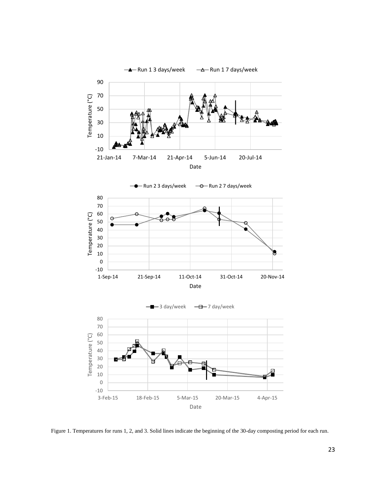

Figure 1. Temperatures for runs 1, 2, and 3. Solid lines indicate the beginning of the 30-day composting period for each run.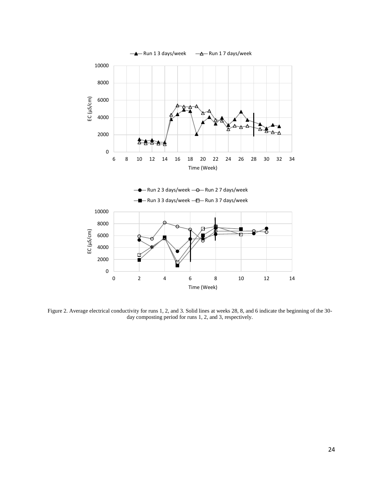

Figure 2. Average electrical conductivity for runs 1, 2, and 3. Solid lines at weeks 28, 8, and 6 indicate the beginning of the 30 day composting period for runs 1, 2, and 3, respectively.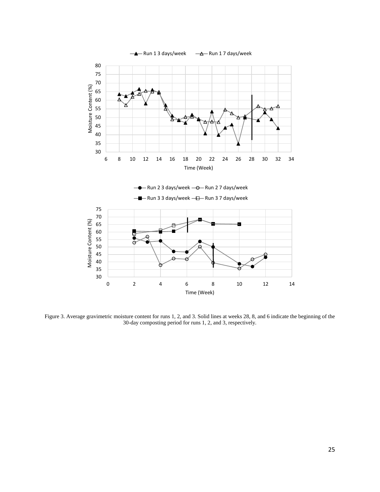

Figure 3. Average gravimetric moisture content for runs 1, 2, and 3. Solid lines at weeks 28, 8, and 6 indicate the beginning of the 30-day composting period for runs 1, 2, and 3, respectively.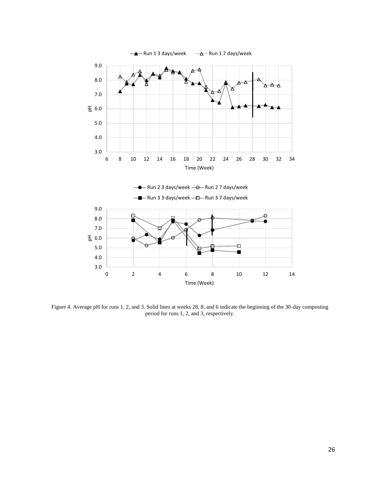

Figure 4. Average pH for runs 1, 2, and 3. Solid lines at weeks 28, 8, and 6 indicate the beginning of the 30-day composting period for runs 1, 2, and 3, respectively.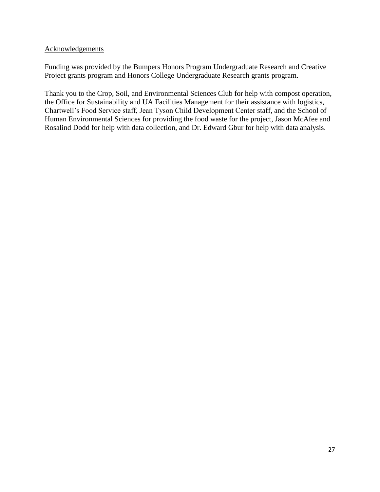#### Acknowledgements

Funding was provided by the Bumpers Honors Program Undergraduate Research and Creative Project grants program and Honors College Undergraduate Research grants program.

Thank you to the Crop, Soil, and Environmental Sciences Club for help with compost operation, the Office for Sustainability and UA Facilities Management for their assistance with logistics, Chartwell's Food Service staff, Jean Tyson Child Development Center staff, and the School of Human Environmental Sciences for providing the food waste for the project, Jason McAfee and Rosalind Dodd for help with data collection, and Dr. Edward Gbur for help with data analysis.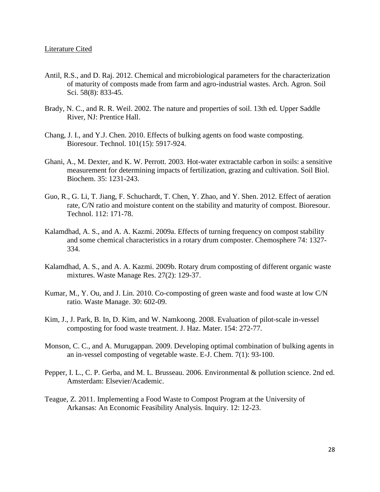- Antil, R.S., and D. Raj. 2012. Chemical and microbiological parameters for the characterization of maturity of composts made from farm and agro-industrial wastes. Arch. Agron. Soil Sci. 58(8): 833-45.
- Brady, N. C., and R. R. Weil. 2002. The nature and properties of soil. 13th ed. Upper Saddle River, NJ: Prentice Hall.
- Chang, J. I., and Y.J. Chen. 2010. Effects of bulking agents on food waste composting. Bioresour. Technol. 101(15): 5917-924.
- Ghani, A., M. Dexter, and K. W. Perrott. 2003. Hot-water extractable carbon in soils: a sensitive measurement for determining impacts of fertilization, grazing and cultivation. Soil Biol. Biochem. 35: 1231-243.
- Guo, R., G. Li, T. Jiang, F. Schuchardt, T. Chen, Y. Zhao, and Y. Shen. 2012. Effect of aeration rate, C/N ratio and moisture content on the stability and maturity of compost. Bioresour. Technol. 112: 171-78.
- Kalamdhad, A. S., and A. A. Kazmi. 2009a. Effects of turning frequency on compost stability and some chemical characteristics in a rotary drum composter. Chemosphere 74: 1327- 334.
- Kalamdhad, A. S., and A. A. Kazmi. 2009b. Rotary drum composting of different organic waste mixtures. Waste Manage Res. 27(2): 129-37.
- Kumar, M., Y. Ou, and J. Lin. 2010. Co-composting of green waste and food waste at low C/N ratio. Waste Manage. 30: 602-09.
- Kim, J., J. Park, B. In, D. Kim, and W. Namkoong. 2008. Evaluation of pilot-scale in-vessel composting for food waste treatment. J. Haz. Mater. 154: 272-77.
- Monson, C. C., and A. Murugappan. 2009. Developing optimal combination of bulking agents in an in-vessel composting of vegetable waste. E-J. Chem. 7(1): 93-100.
- Pepper, I. L., C. P. Gerba, and M. L. Brusseau. 2006. Environmental & pollution science. 2nd ed. Amsterdam: Elsevier/Academic.
- Teague, Z. 2011. Implementing a Food Waste to Compost Program at the University of Arkansas: An Economic Feasibility Analysis. Inquiry. 12: 12-23.